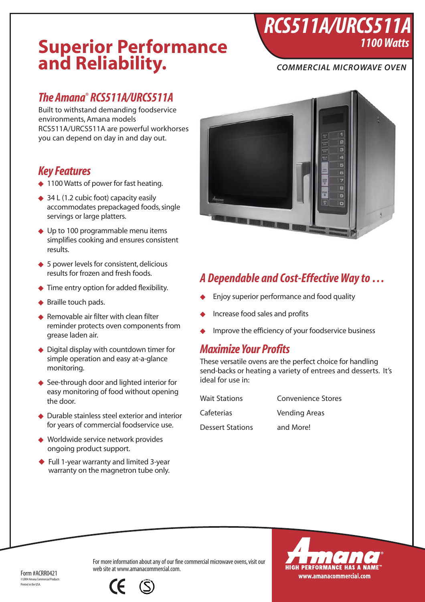# **Superior Performance and Reliability.**

### *COMMERCIAL MICROWAVE OVEN*

*1100 Watts*

*RCS511A/URCS511A*

## *The Amana® RCS511A/URCS511A*

Built to withstand demanding foodservice environments, Amana models RCS511A/URCS511A are powerful workhorses you can depend on day in and day out.

## *Key Features*

- ◆ 1100 Watts of power for fast heating.
- ◆ 34 L (1.2 cubic foot) capacity easily accommodates prepackaged foods, single servings or large platters.
- ◆ Up to 100 programmable menu items simplifies cooking and ensures consistent results.
- ◆ 5 power levels for consistent, delicious results for frozen and fresh foods.
- ◆ Time entry option for added flexibility.
- ◆ Braille touch pads.
- ◆ Removable air filter with clean filter reminder protects oven components from grease laden air.
- ◆ Digital display with countdown timer for simple operation and easy at-a-glance monitoring.
- ◆ See-through door and lighted interior for easy monitoring of food without opening the door.
- ◆ Durable stainless steel exterior and interior for years of commercial foodservice use.
- ◆ Worldwide service network provides ongoing product support.
- ◆ Full 1-year warranty and limited 3-year warranty on the magnetron tube only.



## *A Dependable and Cost-Effective Way to …*

- Enjoy superior performance and food quality
- Increase food sales and profits
- Improve the efficiency of your foodservice business

## *Maximize Your Profits*

These versatile ovens are the perfect choice for handling send-backs or heating a variety of entrees and desserts. It's ideal for use in:

| <b>Wait Stations</b>    | Convenience Stores   |
|-------------------------|----------------------|
| Cafeterias              | <b>Vending Areas</b> |
| <b>Dessert Stations</b> | and More!            |



For more information about any of our fine commercial microwave ovens, visit our web site at www.amanacommercial.com.

Form #ACRR0421  $\odot$ 2004 Am Printed in the USA.